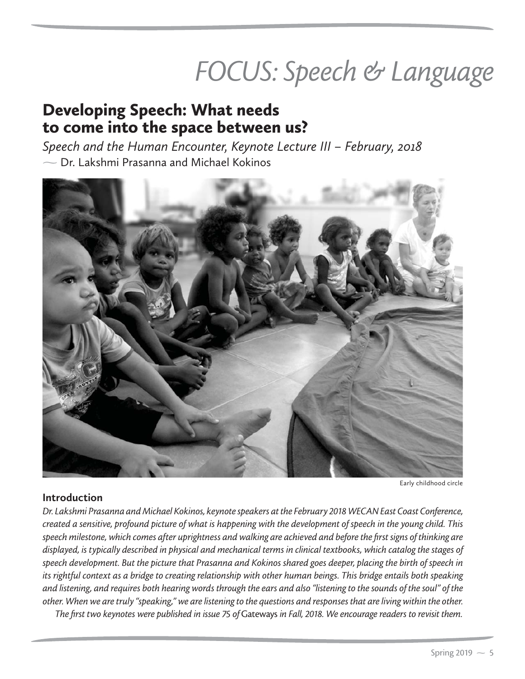# FOCUS: Speech & Language

# Developing Speech: What needs to come into the space between us?

*Speech and the Human Encounter, Keynote Lecture III – February, 2018*  $\overline{\phantom{a}}$  Dr. Lakshmi Prasanna and Michael Kokinos



Early childhood circle

## **Introduction**

*Dr. Lakshmi Prasanna and Michael Kokinos, keynote speakers at the February 2018 WECAN East Coast Conference, created a sensitive, profound picture of what is happening with the development of speech in the young child. This speech milestone, which comes after uprightness and walking are achieved and before the first signs of thinking are displayed, is typically described in physical and mechanical terms in clinical textbooks, which catalog the stages of speech development. But the picture that Prasanna and Kokinos shared goes deeper, placing the birth of speech in its rightful context as a bridge to creating relationship with other human beings. This bridge entails both speaking and listening, and requires both hearing words through the ears and also "listening to the sounds of the soul" of the other. When we are truly "speaking," we are listening to the questions and responses that are living within the other.*

*The first two keynotes were published in issue 75 of* Gateways *in Fall, 2018. We encourage readers to revisit them.*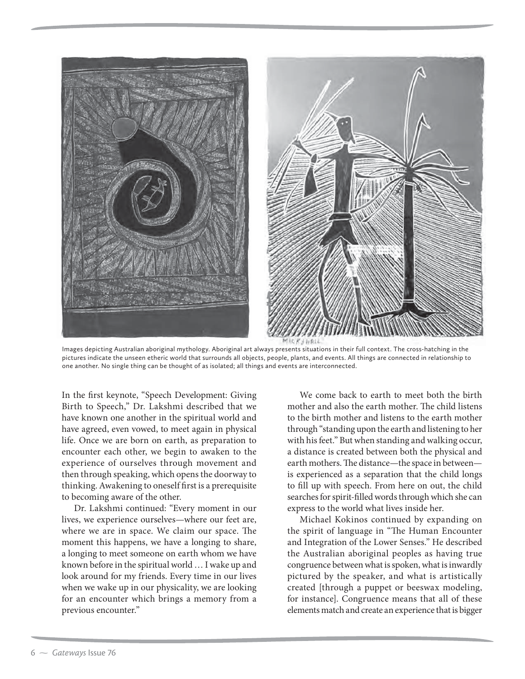

Images depicting Australian aboriginal mythology. Aboriginal art always presents situations in their full context. The cross-hatching in the pictures indicate the unseen etheric world that surrounds all objects, people, plants, and events. All things are connected in relationship to one another. No single thing can be thought of as isolated; all things and events are interconnected.

In the first keynote, "Speech Development: Giving Birth to Speech," Dr. Lakshmi described that we have known one another in the spiritual world and have agreed, even vowed, to meet again in physical life. Once we are born on earth, as preparation to encounter each other, we begin to awaken to the experience of ourselves through movement and then through speaking, which opens the doorway to thinking. Awakening to oneself first is a prerequisite to becoming aware of the other.

Dr. Lakshmi continued: "Every moment in our lives, we experience ourselves—where our feet are, where we are in space. We claim our space. The moment this happens, we have a longing to share, a longing to meet someone on earth whom we have known before in the spiritual world … I wake up and look around for my friends. Every time in our lives when we wake up in our physicality, we are looking for an encounter which brings a memory from a previous encounter."

We come back to earth to meet both the birth mother and also the earth mother. The child listens to the birth mother and listens to the earth mother through "standing upon the earth and listening to her with his feet." But when standing and walking occur, a distance is created between both the physical and earth mothers. The distance—the space in between is experienced as a separation that the child longs to fill up with speech. From here on out, the child searches for spirit-filled words through which she can express to the world what lives inside her.

Michael Kokinos continued by expanding on the spirit of language in "The Human Encounter and Integration of the Lower Senses." He described the Australian aboriginal peoples as having true congruence between what is spoken, what is inwardly pictured by the speaker, and what is artistically created [through a puppet or beeswax modeling, for instance]. Congruence means that all of these elements match and create an experience that is bigger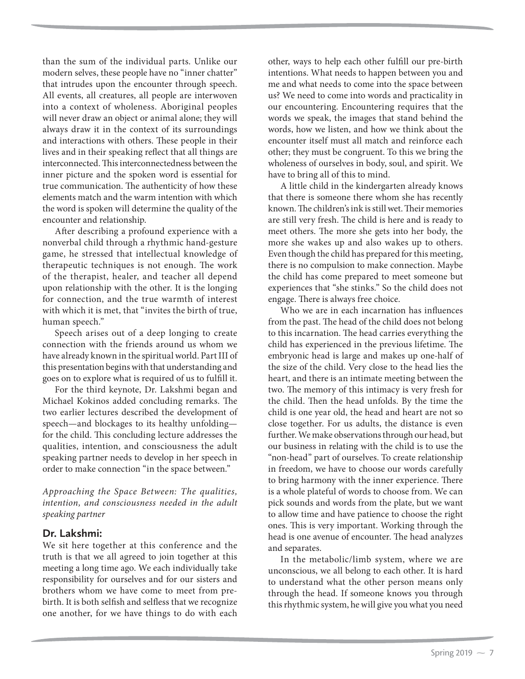than the sum of the individual parts. Unlike our modern selves, these people have no "inner chatter" that intrudes upon the encounter through speech. All events, all creatures, all people are interwoven into a context of wholeness. Aboriginal peoples will never draw an object or animal alone; they will always draw it in the context of its surroundings and interactions with others. These people in their lives and in their speaking reflect that all things are interconnected. This interconnectedness between the inner picture and the spoken word is essential for true communication. The authenticity of how these elements match and the warm intention with which the word is spoken will determine the quality of the encounter and relationship.

After describing a profound experience with a nonverbal child through a rhythmic hand-gesture game, he stressed that intellectual knowledge of therapeutic techniques is not enough. The work of the therapist, healer, and teacher all depend upon relationship with the other. It is the longing for connection, and the true warmth of interest with which it is met, that "invites the birth of true, human speech."

Speech arises out of a deep longing to create connection with the friends around us whom we have already known in the spiritual world. Part III of this presentation begins with that understanding and goes on to explore what is required of us to fulfill it.

For the third keynote, Dr. Lakshmi began and Michael Kokinos added concluding remarks. The two earlier lectures described the development of speech—and blockages to its healthy unfolding for the child. This concluding lecture addresses the qualities, intention, and consciousness the adult speaking partner needs to develop in her speech in order to make connection "in the space between."

*Approaching the Space Between: The qualities, intention, and consciousness needed in the adult speaking partner*

### **Dr. Lakshmi:**

We sit here together at this conference and the truth is that we all agreed to join together at this meeting a long time ago. We each individually take responsibility for ourselves and for our sisters and brothers whom we have come to meet from prebirth. It is both selfish and selfless that we recognize one another, for we have things to do with each other, ways to help each other fulfill our pre-birth intentions. What needs to happen between you and me and what needs to come into the space between us? We need to come into words and practicality in our encountering. Encountering requires that the words we speak, the images that stand behind the words, how we listen, and how we think about the encounter itself must all match and reinforce each other; they must be congruent. To this we bring the wholeness of ourselves in body, soul, and spirit. We have to bring all of this to mind.

A little child in the kindergarten already knows that there is someone there whom she has recently known. The children's ink is still wet. Their memories are still very fresh. The child is here and is ready to meet others. The more she gets into her body, the more she wakes up and also wakes up to others. Even though the child has prepared for this meeting, there is no compulsion to make connection. Maybe the child has come prepared to meet someone but experiences that "she stinks." So the child does not engage. There is always free choice.

Who we are in each incarnation has influences from the past. The head of the child does not belong to this incarnation. The head carries everything the child has experienced in the previous lifetime. The embryonic head is large and makes up one-half of the size of the child. Very close to the head lies the heart, and there is an intimate meeting between the two. The memory of this intimacy is very fresh for the child. Then the head unfolds. By the time the child is one year old, the head and heart are not so close together. For us adults, the distance is even further. We make observations through our head, but our business in relating with the child is to use the "non-head" part of ourselves. To create relationship in freedom, we have to choose our words carefully to bring harmony with the inner experience. There is a whole plateful of words to choose from. We can pick sounds and words from the plate, but we want to allow time and have patience to choose the right ones. This is very important. Working through the head is one avenue of encounter. The head analyzes and separates.

In the metabolic/limb system, where we are unconscious, we all belong to each other. It is hard to understand what the other person means only through the head. If someone knows you through this rhythmic system, he will give you what you need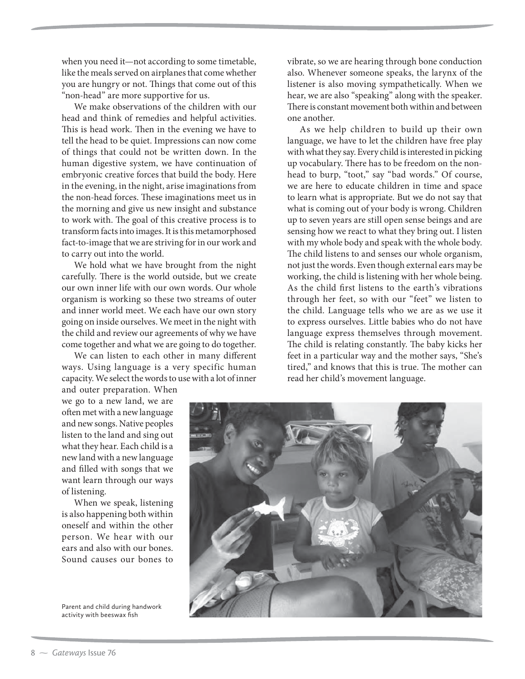when you need it—not according to some timetable, like the meals served on airplanes that come whether you are hungry or not. Things that come out of this "non-head" are more supportive for us.

We make observations of the children with our head and think of remedies and helpful activities. This is head work. Then in the evening we have to tell the head to be quiet. Impressions can now come of things that could not be written down. In the human digestive system, we have continuation of embryonic creative forces that build the body. Here in the evening, in the night, arise imaginations from the non-head forces. These imaginations meet us in the morning and give us new insight and substance to work with. The goal of this creative process is to transform facts into images. It is this metamorphosed fact-to-image that we are striving for in our work and to carry out into the world.

We hold what we have brought from the night carefully. There is the world outside, but we create our own inner life with our own words. Our whole organism is working so these two streams of outer and inner world meet. We each have our own story going on inside ourselves. We meet in the night with the child and review our agreements of why we have come together and what we are going to do together.

We can listen to each other in many different ways. Using language is a very specific human capacity. We select the words to use with a lot of inner

and outer preparation. When we go to a new land, we are often met with a new language and new songs. Native peoples listen to the land and sing out what they hear. Each child is a new land with a new language and filled with songs that we want learn through our ways of listening.

When we speak, listening is also happening both within oneself and within the other person. We hear with our ears and also with our bones. Sound causes our bones to

Parent and child during handwork activity with beeswax fish

vibrate, so we are hearing through bone conduction also. Whenever someone speaks, the larynx of the listener is also moving sympathetically. When we hear, we are also "speaking" along with the speaker. There is constant movement both within and between one another.

As we help children to build up their own language, we have to let the children have free play with what they say. Every child is interested in picking up vocabulary. There has to be freedom on the nonhead to burp, "toot," say "bad words." Of course, we are here to educate children in time and space to learn what is appropriate. But we do not say that what is coming out of your body is wrong. Children up to seven years are still open sense beings and are sensing how we react to what they bring out. I listen with my whole body and speak with the whole body. The child listens to and senses our whole organism, not just the words. Even though external ears may be working, the child is listening with her whole being. As the child first listens to the earth's vibrations through her feet, so with our "feet" we listen to the child. Language tells who we are as we use it to express ourselves. Little babies who do not have language express themselves through movement. The child is relating constantly. The baby kicks her feet in a particular way and the mother says, "She's tired," and knows that this is true. The mother can read her child's movement language.

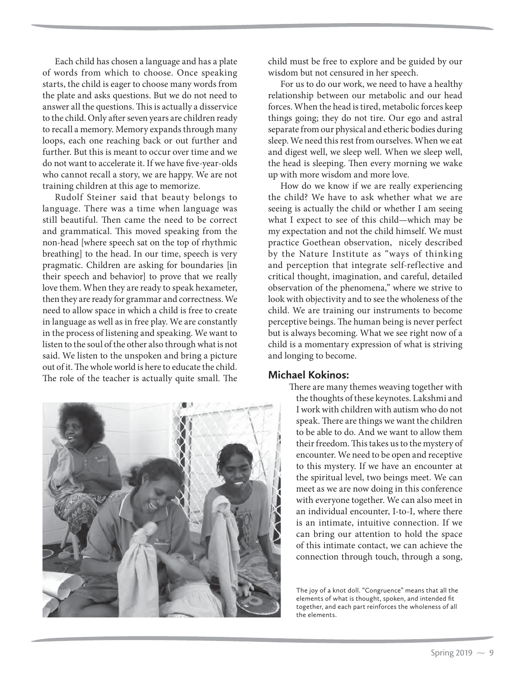Each child has chosen a language and has a plate of words from which to choose. Once speaking starts, the child is eager to choose many words from the plate and asks questions. But we do not need to answer all the questions. This is actually a disservice to the child. Only after seven years are children ready to recall a memory. Memory expands through many loops, each one reaching back or out further and further. But this is meant to occur over time and we do not want to accelerate it. If we have five-year-olds who cannot recall a story, we are happy. We are not training children at this age to memorize.

Rudolf Steiner said that beauty belongs to language. There was a time when language was still beautiful. Then came the need to be correct and grammatical. This moved speaking from the non-head [where speech sat on the top of rhythmic breathing] to the head. In our time, speech is very pragmatic. Children are asking for boundaries [in their speech and behavior] to prove that we really love them. When they are ready to speak hexameter, then they are ready for grammar and correctness. We need to allow space in which a child is free to create in language as well as in free play. We are constantly in the process of listening and speaking. We want to listen to the soul of the other also through what is not said. We listen to the unspoken and bring a picture out of it. The whole world is here to educate the child. The role of the teacher is actually quite small. The



child must be free to explore and be guided by our wisdom but not censured in her speech.

For us to do our work, we need to have a healthy relationship between our metabolic and our head forces. When the head is tired, metabolic forces keep things going; they do not tire. Our ego and astral separate from our physical and etheric bodies during sleep. We need this rest from ourselves. When we eat and digest well, we sleep well. When we sleep well, the head is sleeping. Then every morning we wake up with more wisdom and more love.

How do we know if we are really experiencing the child? We have to ask whether what we are seeing is actually the child or whether I am seeing what I expect to see of this child—which may be my expectation and not the child himself. We must practice Goethean observation, nicely described by the Nature Institute as "ways of thinking and perception that integrate self-reflective and critical thought, imagination, and careful, detailed observation of the phenomena," where we strive to look with objectivity and to see the wholeness of the child. We are training our instruments to become perceptive beings. The human being is never perfect but is always becoming. What we see right now of a child is a momentary expression of what is striving and longing to become.

#### **Michael Kokinos:**

There are many themes weaving together with the thoughts of these keynotes. Lakshmi and I work with children with autism who do not speak. There are things we want the children to be able to do. And we want to allow them their freedom. This takes us to the mystery of encounter. We need to be open and receptive to this mystery. If we have an encounter at the spiritual level, two beings meet. We can meet as we are now doing in this conference with everyone together. We can also meet in an individual encounter, I-to-I, where there is an intimate, intuitive connection. If we can bring our attention to hold the space of this intimate contact, we can achieve the connection through touch, through a song,

The joy of a knot doll. "Congruence" means that all the elements of what is thought, spoken, and intended fit together, and each part reinforces the wholeness of all the elements.